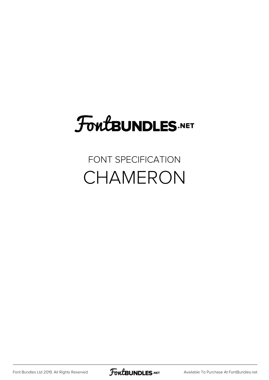#### FoutBUNDLES.NET

#### FONT SPECIFICATION CHAMERON

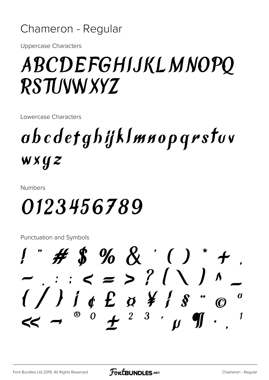#### Chameron - Regular

**Uppercase Characters** 

#### ABCDEFGHIJKLMNOPO **RSTUWW XYZ**

Lowercase Characters

### abcdetghijklmnopqrstuv wxyz

**Numbers** 

### 0123456789

**Punctuation and Symbols**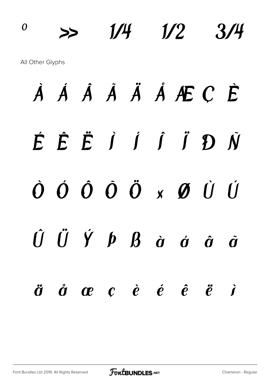## $\frac{1}{4}$   $\frac{1}{2}$   $\frac{3}{4}$ All Other Glyphs À Á Â Ã Ä Å Æ Ç È É Ê Ë Ì Í Î Ï Ð Ñ Ò Ó Ô Õ Ö × Ø Ù Ú  $\hat{U}$   $\ddot{U}$   $\acute{Y}$   $\dot{p}$   $\dot{B}$   $\dot{\alpha}$   $\dot{\alpha}$   $\dot{\alpha}$   $\ddot{\alpha}$ ä å æ ç è é ê ë ì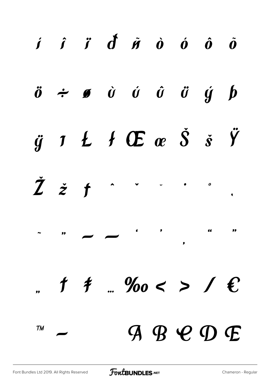